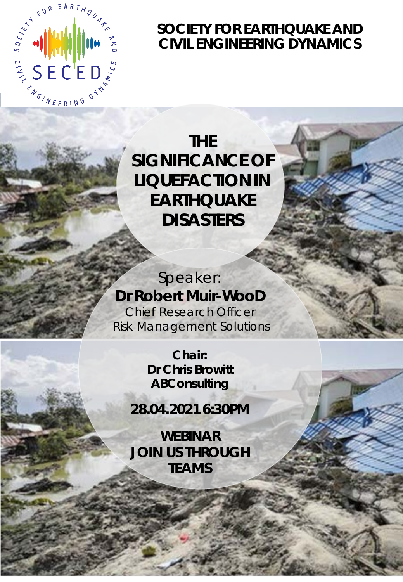

## **SOCIETY FOR EARTHQUAKE AND CIVIL ENGINEERING DYNAMICS**

# **THE SIGNIFICANCE OF LIQUEFACTION IN EARTHQUAKE DISASTERS**

Speaker: **Dr Robert Muir-WooD** Chief Research Officer Risk Management Solutions

> **Chair: Dr Chris Browitt ABConsulting**

**28.04.2021 6:30PM**

**WEBINAR JOIN US THROUGH TEAMS**